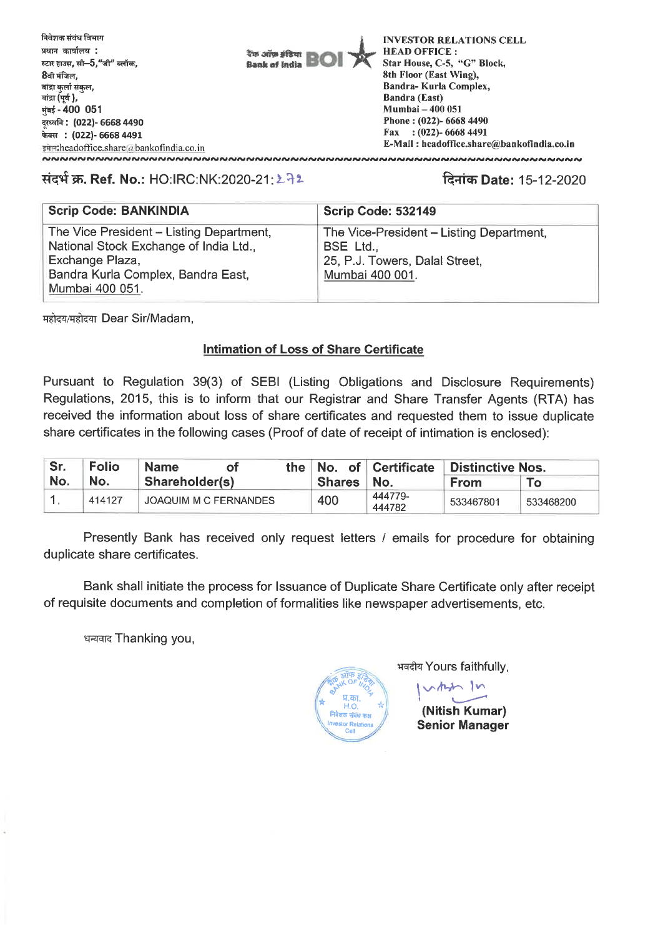

## **संदर्भ क्र. Ref. No.: HO:IRC:NK:2020-21: ১.72**

**q-uch Date:** 15-12-2020

| <b>Scrip Code: BANKINDIA</b>             | Scrip Code: 532149                       |
|------------------------------------------|------------------------------------------|
| The Vice President - Listing Department, | The Vice-President - Listing Department, |
| National Stock Exchange of India Ltd.,   | BSE Ltd.,                                |
| Exchange Plaza,                          | 25, P.J. Towers, Dalal Street,           |
| Bandra Kurla Complex, Bandra East,       | Mumbai 400 001.                          |
| Mumbai 400 051.                          |                                          |

महोदय/महोदया Dear Sir/Madam,

## **Intimation of Loss of Share Certificate**

Pursuant to Regulation 39(3) of SEBI (Listing Obligations and Disclosure Requirements) Regulations, 2015, this is to inform that our Registrar and Share Transfer Agents (RTA) has received the information about loss of share certificates and requested them to issue duplicate share certificates in the following cases (Proof of date of receipt of intimation is enclosed):

| Sr. | <b>Folio</b> | the∥<br><b>Name</b><br>οt    |              | No. of Certificate | <b>Distinctive Nos.</b> |           |
|-----|--------------|------------------------------|--------------|--------------------|-------------------------|-----------|
| No. | No.          | Shareholder(s)               | Shares   No. |                    | <b>From</b>             |           |
|     | 414127       | <b>JOAQUIM M C FERNANDES</b> | 400          | 444779-<br>444782  | 533467801               | 533468200 |

Presently Bank has received only request letters / emails for procedure for obtaining duplicate share certificates.

Bank shall initiate the process for Issuance of Duplicate Share Certificate only after receipt of requisite documents and completion of formalities like newspaper advertisements, etc.

धन्यवाद Thanking you,



भवदीय Yours faithfully,

vertief In

**(Nitish Kumar) Senior Manager**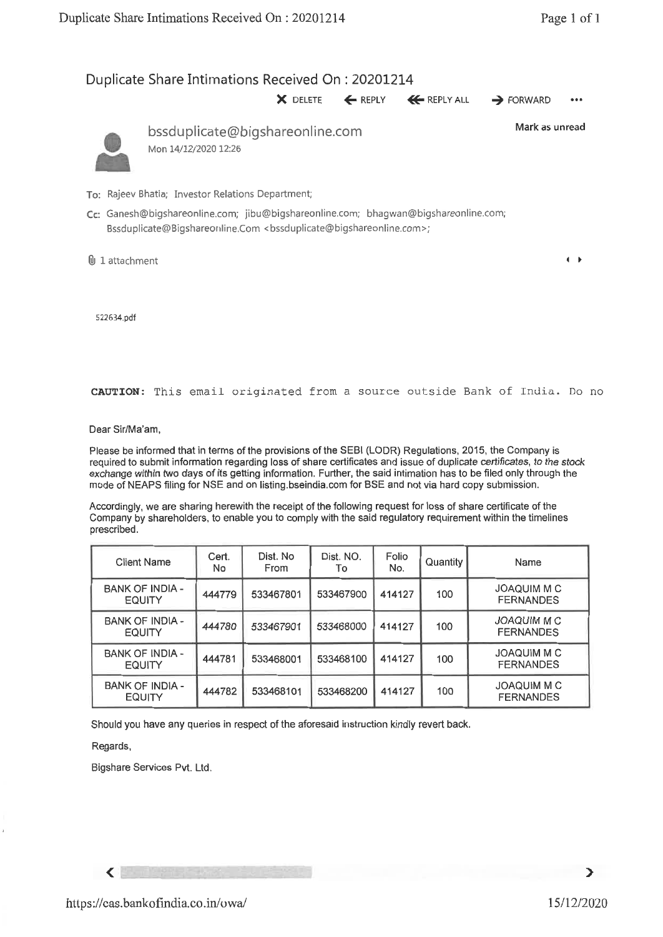**I** ►

## Duplicate Share Intimations Received On : 20201214 **X** DELETE ← REPLY ← REPLY ALL → FORWARD ••• bssduplicate@bigshareonline.com Mon 14/12/2020 12:26 Mark as unread

- To: Rajeev Bhatia; Investor Relations Department;
- **Cc:** Ganesh@bigshareonline.com; jibu@bigshareonline.com; bhagwan@bigshareonline.com; Bssduplicate@Bigshareonline.Com <br/>bssduplicate@bigshareonline.com>;
- 6 1 attachment

522634.pdf

**CAUTION:** This email originated from a source outside Bank of India. Do no

Dear Sir/Ma'am,

Please be informed that in terms of the provisions of the SEBI (LODR) Regulations, 2015, the Company is required to submit information regarding loss of share certificates and issue of duplicate certificates, to the stock exchange within two days of its getting information. Further, the said intimation has to be filed only through the mode of NEAPS filing for NSE and on listing.bseindia.com for BSE and not via hard copy submission.

Accordingly, we are sharing herewith the receipt of the following request for loss of share certificate of the Company by shareholders, to enable you to comply with the said regulatory requirement within the timelines prescribed.

| <b>Client Name</b>                      | Cert.<br>No | Dist. No<br>From | Dist. NO.<br>To | Folio<br>No. | Quantity | Name                                   |
|-----------------------------------------|-------------|------------------|-----------------|--------------|----------|----------------------------------------|
| <b>BANK OF INDIA -</b><br><b>EQUITY</b> | 444779      | 533467801        | 533467900       | 414127       | 100      | JOAQUIM M C<br><b>FERNANDES</b>        |
| <b>BANK OF INDIA -</b><br><b>EQUITY</b> | 444780      | 533467901        | 533468000       | 414127       | 100      | <b>JOAQUIM M C</b><br><b>FERNANDES</b> |
| <b>BANK OF INDIA -</b><br><b>EQUITY</b> | 444781      | 533468001        | 533468100       | 414127       | 100      | JOAQUIM M C<br><b>FERNANDES</b>        |
| <b>BANK OF INDIA -</b><br><b>EQUITY</b> | 444782      | 533468101        | 533468200       | 414127       | 100      | <b>JOAQUIM M C</b><br><b>FERNANDES</b> |

Should you have any queries in respect of the aforesaid instruction kindly revert back.

Regards,

 $\left\langle \right\rangle$ 

Bigshare Services **Pvt. Ltd.**